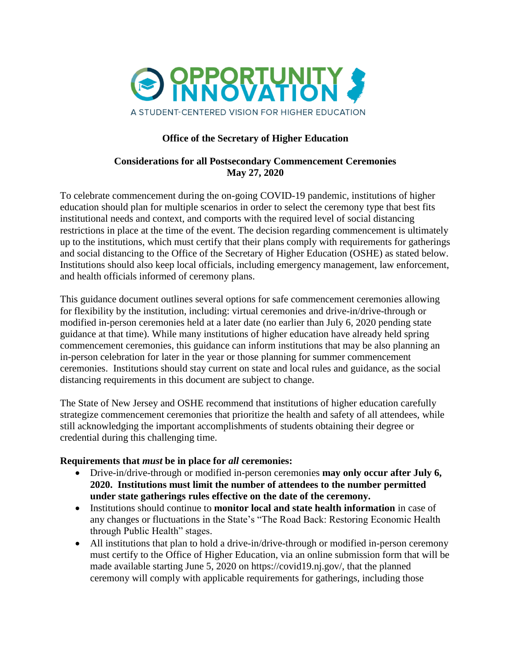

# **Office of the Secretary of Higher Education**

#### **Considerations for all Postsecondary Commencement Ceremonies May 27, 2020**

To celebrate commencement during the on-going COVID-19 pandemic, institutions of higher education should plan for multiple scenarios in order to select the ceremony type that best fits institutional needs and context, and comports with the required level of social distancing restrictions in place at the time of the event. The decision regarding commencement is ultimately up to the institutions, which must certify that their plans comply with requirements for gatherings and social distancing to the Office of the Secretary of Higher Education (OSHE) as stated below. Institutions should also keep local officials, including emergency management, law enforcement, and health officials informed of ceremony plans.

This guidance document outlines several options for safe commencement ceremonies allowing for flexibility by the institution, including: virtual ceremonies and drive-in/drive-through or modified in-person ceremonies held at a later date (no earlier than July 6, 2020 pending state guidance at that time). While many institutions of higher education have already held spring commencement ceremonies, this guidance can inform institutions that may be also planning an in-person celebration for later in the year or those planning for summer commencement ceremonies. Institutions should stay current on state and local rules and guidance, as the social distancing requirements in this document are subject to change.

The State of New Jersey and OSHE recommend that institutions of higher education carefully strategize commencement ceremonies that prioritize the health and safety of all attendees, while still acknowledging the important accomplishments of students obtaining their degree or credential during this challenging time.

### **Requirements that** *must* **be in place for** *all* **ceremonies:**

- Drive-in/drive-through or modified in-person ceremonies **may only occur after July 6, 2020. Institutions must limit the number of attendees to the number permitted under state gatherings rules effective on the date of the ceremony.**
- Institutions should continue to **monitor local and state health information** in case of any changes or fluctuations in the State's "The Road Back: Restoring Economic Health through Public Health" stages.
- All institutions that plan to hold a drive-in/drive-through or modified in-person ceremony must certify to the Office of Higher Education, via an online submission form that will be made available starting June 5, 2020 on https://covid19.nj.gov/, that the planned ceremony will comply with applicable requirements for gatherings, including those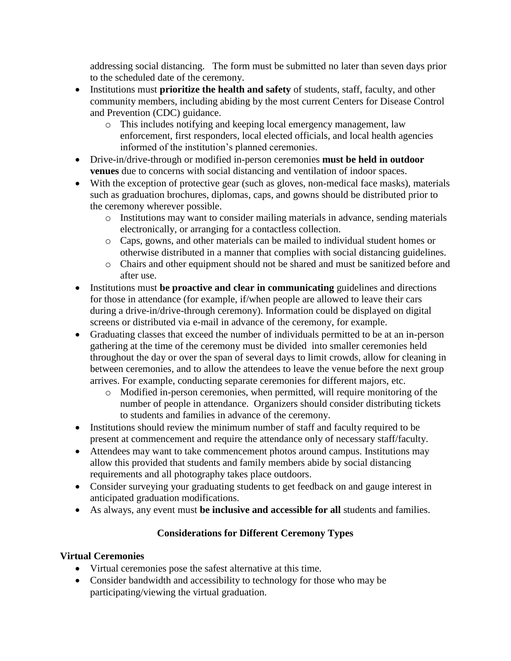addressing social distancing. The form must be submitted no later than seven days prior to the scheduled date of the ceremony.

- Institutions must **prioritize the health and safety** of students, staff, faculty, and other community members, including abiding by the most current Centers for Disease Control and Prevention (CDC) guidance.
	- o This includes notifying and keeping local emergency management, law enforcement, first responders, local elected officials, and local health agencies informed of the institution's planned ceremonies.
- Drive-in/drive-through or modified in-person ceremonies **must be held in outdoor venues** due to concerns with social distancing and ventilation of indoor spaces.
- With the exception of protective gear (such as gloves, non-medical face masks), materials such as graduation brochures, diplomas, caps, and gowns should be distributed prior to the ceremony wherever possible.
	- o Institutions may want to consider mailing materials in advance, sending materials electronically, or arranging for a contactless collection.
	- o Caps, gowns, and other materials can be mailed to individual student homes or otherwise distributed in a manner that complies with social distancing guidelines.
	- o Chairs and other equipment should not be shared and must be sanitized before and after use.
- Institutions must **be proactive and clear in communicating** guidelines and directions for those in attendance (for example, if/when people are allowed to leave their cars during a drive-in/drive-through ceremony). Information could be displayed on digital screens or distributed via e-mail in advance of the ceremony, for example.
- Graduating classes that exceed the number of individuals permitted to be at an in-person gathering at the time of the ceremony must be divided into smaller ceremonies held throughout the day or over the span of several days to limit crowds, allow for cleaning in between ceremonies, and to allow the attendees to leave the venue before the next group arrives. For example, conducting separate ceremonies for different majors, etc.
	- o Modified in-person ceremonies, when permitted, will require monitoring of the number of people in attendance. Organizers should consider distributing tickets to students and families in advance of the ceremony.
- Institutions should review the minimum number of staff and faculty required to be present at commencement and require the attendance only of necessary staff/faculty.
- Attendees may want to take commencement photos around campus. Institutions may allow this provided that students and family members abide by social distancing requirements and all photography takes place outdoors.
- Consider surveying your graduating students to get feedback on and gauge interest in anticipated graduation modifications.
- As always, any event must **be inclusive and accessible for all** students and families.

# **Considerations for Different Ceremony Types**

# **Virtual Ceremonies**

- Virtual ceremonies pose the safest alternative at this time.
- Consider bandwidth and accessibility to technology for those who may be participating/viewing the virtual graduation.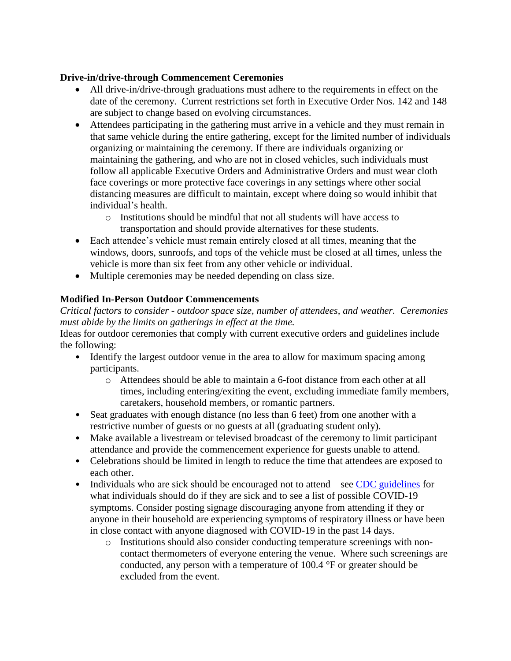### **Drive-in/drive-through Commencement Ceremonies**

- All drive-in/drive-through graduations must adhere to the requirements in effect on the date of the ceremony. Current restrictions set forth in Executive Order Nos. 142 and 148 are subject to change based on evolving circumstances.
- Attendees participating in the gathering must arrive in a vehicle and they must remain in that same vehicle during the entire gathering, except for the limited number of individuals organizing or maintaining the ceremony. If there are individuals organizing or maintaining the gathering, and who are not in closed vehicles, such individuals must follow all applicable Executive Orders and Administrative Orders and must wear cloth face coverings or more protective face coverings in any settings where other social distancing measures are difficult to maintain, except where doing so would inhibit that individual's health.
	- o Institutions should be mindful that not all students will have access to transportation and should provide alternatives for these students.
- Each attendee's vehicle must remain entirely closed at all times, meaning that the windows, doors, sunroofs, and tops of the vehicle must be closed at all times, unless the vehicle is more than six feet from any other vehicle or individual.
- Multiple ceremonies may be needed depending on class size.

### **Modified In-Person Outdoor Commencements**

*Critical factors to consider - outdoor space size, number of attendees, and weather. Ceremonies must abide by the limits on gatherings in effect at the time.* 

Ideas for outdoor ceremonies that comply with current executive orders and guidelines include the following:

- Identify the largest outdoor venue in the area to allow for maximum spacing among participants.
	- o Attendees should be able to maintain a 6-foot distance from each other at all times, including entering/exiting the event, excluding immediate family members, caretakers, household members, or romantic partners.
- Seat graduates with enough distance (no less than 6 feet) from one another with a restrictive number of guests or no guests at all (graduating student only).
- Make available a livestream or televised broadcast of the ceremony to limit participant attendance and provide the commencement experience for guests unable to attend.
- Celebrations should be limited in length to reduce the time that attendees are exposed to each other.
- Individuals who are sick should be encouraged not to attend see [CDC guidelines](https://www.cdc.gov/coronavirus/2019-ncov/if-you-are-sick/steps-when-sick.html) for what individuals should do if they are sick and to see a list of possible COVID-19 symptoms. Consider posting signage discouraging anyone from attending if they or anyone in their household are experiencing symptoms of respiratory illness or have been in close contact with anyone diagnosed with COVID-19 in the past 14 days.
	- o Institutions should also consider conducting temperature screenings with noncontact thermometers of everyone entering the venue. Where such screenings are conducted, any person with a temperature of 100.4 °F or greater should be excluded from the event.